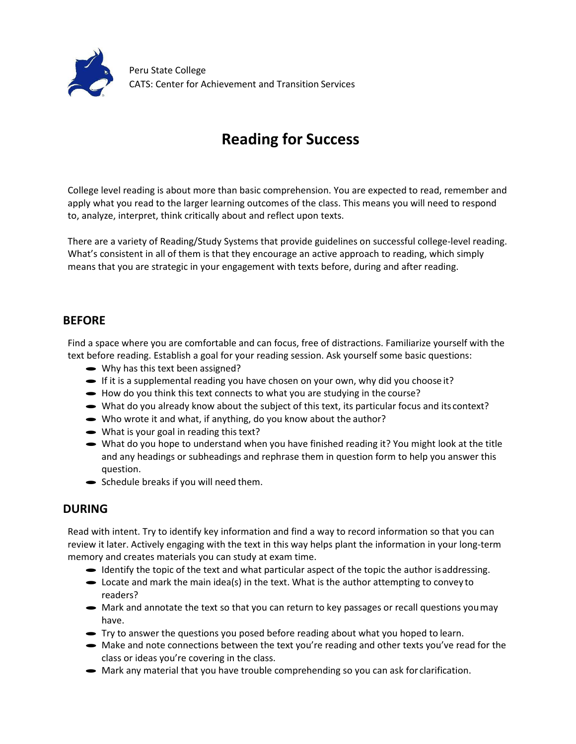

## **Reading for Success**

College level reading is about more than basic comprehension. You are expected to read, remember and apply what you read to the larger learning outcomes of the class. This means you will need to respond to, analyze, interpret, think critically about and reflect upon texts.

There are a variety of Reading/Study Systems that provide guidelines on successful college-level reading. What's consistent in all of them is that they encourage an active approach to reading, which simply means that you are strategic in your engagement with texts before, during and after reading.

## **BEFORE**

Find a space where you are comfortable and can focus, free of distractions. Familiarize yourself with the text before reading. Establish a goal for your reading session. Ask yourself some basic questions:<br>
• Why has this text been assigned?

- 
- Why has this text been assigned?<br>• If it is a supplemental reading you have chosen on your own, why did you choose it?
- · How do you think this text connects to what you are studying in the course?
- What do you already know about the subject of this text, its particular focus and its context?
- $\blacktriangleright$  Who wrote it and what, if anything, do you know about the author?
- $\bullet$  What is your goal in reading this text?
- · What do you hope to understand when you have finished reading it? You might look at the title and any headings or subheadings and rephrase them in question form to help you answer this question.
- · Schedule breaks if you will need them.

## **DURING**

Read with intent. Try to identify key information and find a way to record information so that you can review it later. Actively engaging with the text in this way helps plant the information in your long-term memory and creates materials you can study at exam time.

- Identify the topic of the text and what particular aspect of the topic the author is addressing.
- $\bullet$  Locate and mark the main idea(s) in the text. What is the author attempting to convey to readers?
- Mark and annotate the text so that you can return to key passages or recall questions you may have.
- · Try to answer the questions you posed before reading about what you hoped to learn.
- Make and note connections between the text you're reading and other texts you've read for the class or ideas you're covering in the class.
- Mark any material that you have trouble comprehending so you can ask for clarification.